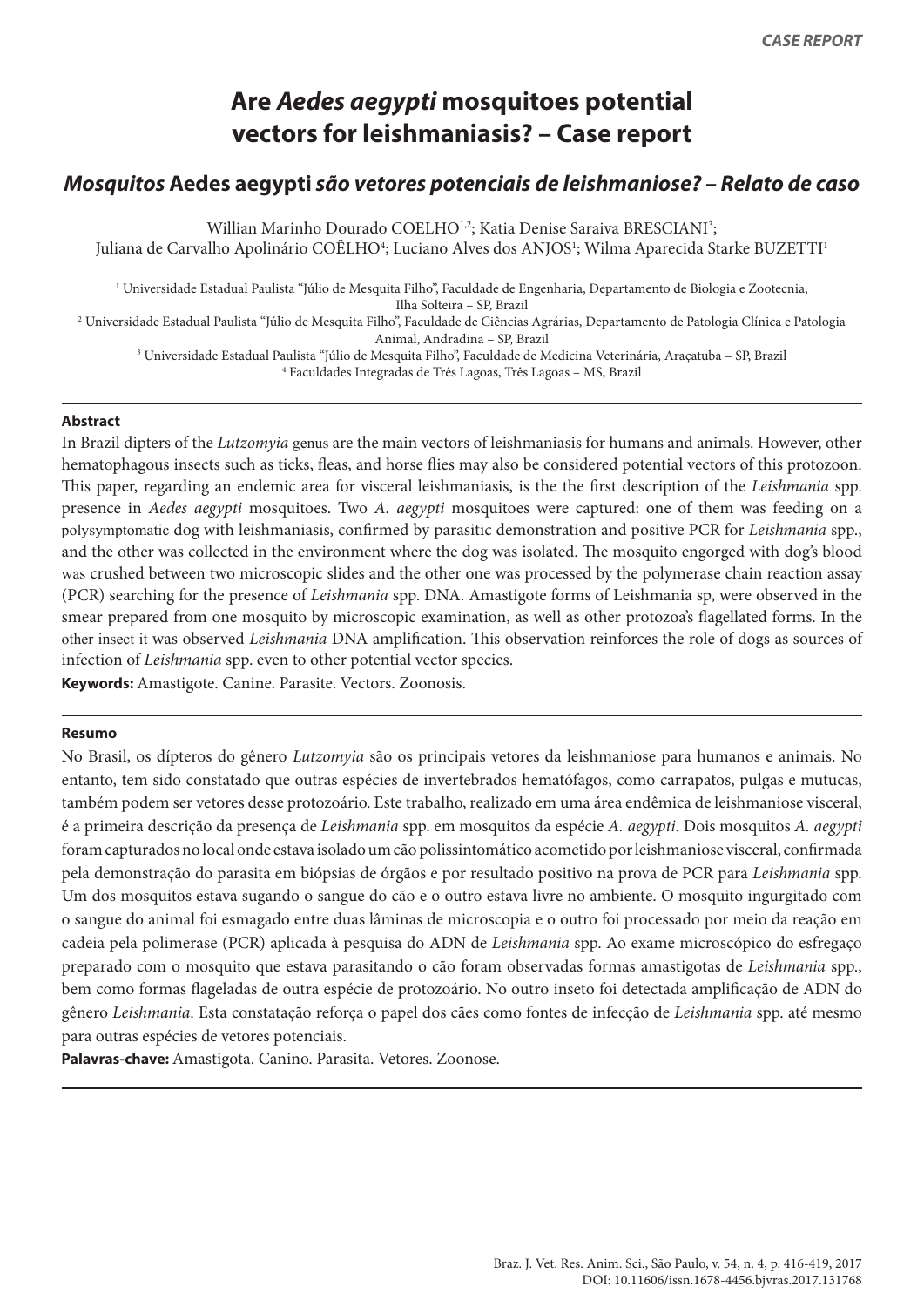# **Are** *Aedes aegypti* **mosquitoes potential vectors for leishmaniasis? – Case report**

## *Mosquitos* **Aedes aegypti** *são vetores potenciais de leishmaniose? – Relato de caso*

Willian Marinho Dourado COELHO<sup>1,2</sup>; Katia Denise Saraiva BRESCIANI<sup>3</sup>; Juliana de Carvalho Apolinário COÊLHO<sup>4</sup>; Luciano Alves dos ANJOS<sup>1</sup>; Wilma Aparecida Starke BUZETTI<sup>1</sup>

1 Universidade Estadual Paulista "Júlio de Mesquita Filho", Faculdade de Engenharia, Departamento de Biologia e Zootecnia, Ilha Solteira – SP, Brazil

2 Universidade Estadual Paulista "Júlio de Mesquita Filho", Faculdade de Ciências Agrárias, Departamento de Patologia Clínica e Patologia Animal, Andradina – SP, Brazil

3 Universidade Estadual Paulista "Júlio de Mesquita Filho", Faculdade de Medicina Veterinária, Araçatuba – SP, Brazil

4 Faculdades Integradas de Três Lagoas, Três Lagoas – MS, Brazil

#### **Abstract**

In Brazil dipters of the *Lutzomyia* genus are the main vectors of leishmaniasis for humans and animals. However, other hematophagous insects such as ticks, fleas, and horse flies may also be considered potential vectors of this protozoon. This paper, regarding an endemic area for visceral leishmaniasis, is the the first description of the *Leishmania* spp. presence in *Aedes aegypti* mosquitoes. Two *A. aegypti* mosquitoes were captured: one of them was feeding on a polysymptomatic dog with leishmaniasis, confirmed by parasitic demonstration and positive PCR for *Leishmania* spp., and the other was collected in the environment where the dog was isolated. The mosquito engorged with dog's blood was crushed between two microscopic slides and the other one was processed by the polymerase chain reaction assay (PCR) searching for the presence of *Leishmania* spp. DNA. Amastigote forms of Leishmania sp, were observed in the smear prepared from one mosquito by microscopic examination, as well as other protozoa's flagellated forms. In the other insect it was observed *Leishmania* DNA amplification. This observation reinforces the role of dogs as sources of infection of *Leishmania* spp. even to other potential vector species.

**Keywords:** Amastigote. Canine. Parasite. Vectors. Zoonosis.

#### **Resumo**

No Brasil, os dípteros do gênero *Lutzomyia* são os principais vetores da leishmaniose para humanos e animais. No entanto, tem sido constatado que outras espécies de invertebrados hematófagos, como carrapatos, pulgas e mutucas, também podem ser vetores desse protozoário. Este trabalho, realizado em uma área endêmica de leishmaniose visceral, é a primeira descrição da presença de *Leishmania* spp. em mosquitos da espécie *A. aegypti*. Dois mosquitos *A. aegypti* foram capturados no local onde estava isolado um cão polissintomático acometido por leishmaniose visceral, confirmada pela demonstração do parasita em biópsias de órgãos e por resultado positivo na prova de PCR para *Leishmania* spp. Um dos mosquitos estava sugando o sangue do cão e o outro estava livre no ambiente. O mosquito ingurgitado com o sangue do animal foi esmagado entre duas lâminas de microscopia e o outro foi processado por meio da reação em cadeia pela polimerase (PCR) aplicada à pesquisa do ADN de *Leishmania* spp. Ao exame microscópico do esfregaço preparado com o mosquito que estava parasitando o cão foram observadas formas amastigotas de *Leishmania* spp., bem como formas flageladas de outra espécie de protozoário. No outro inseto foi detectada amplificação de ADN do gênero *Leishmania*. Esta constatação reforça o papel dos cães como fontes de infecção de *Leishmania* spp. até mesmo para outras espécies de vetores potenciais.

**Palavras-chave:** Amastigota. Canino. Parasita. Vetores. Zoonose.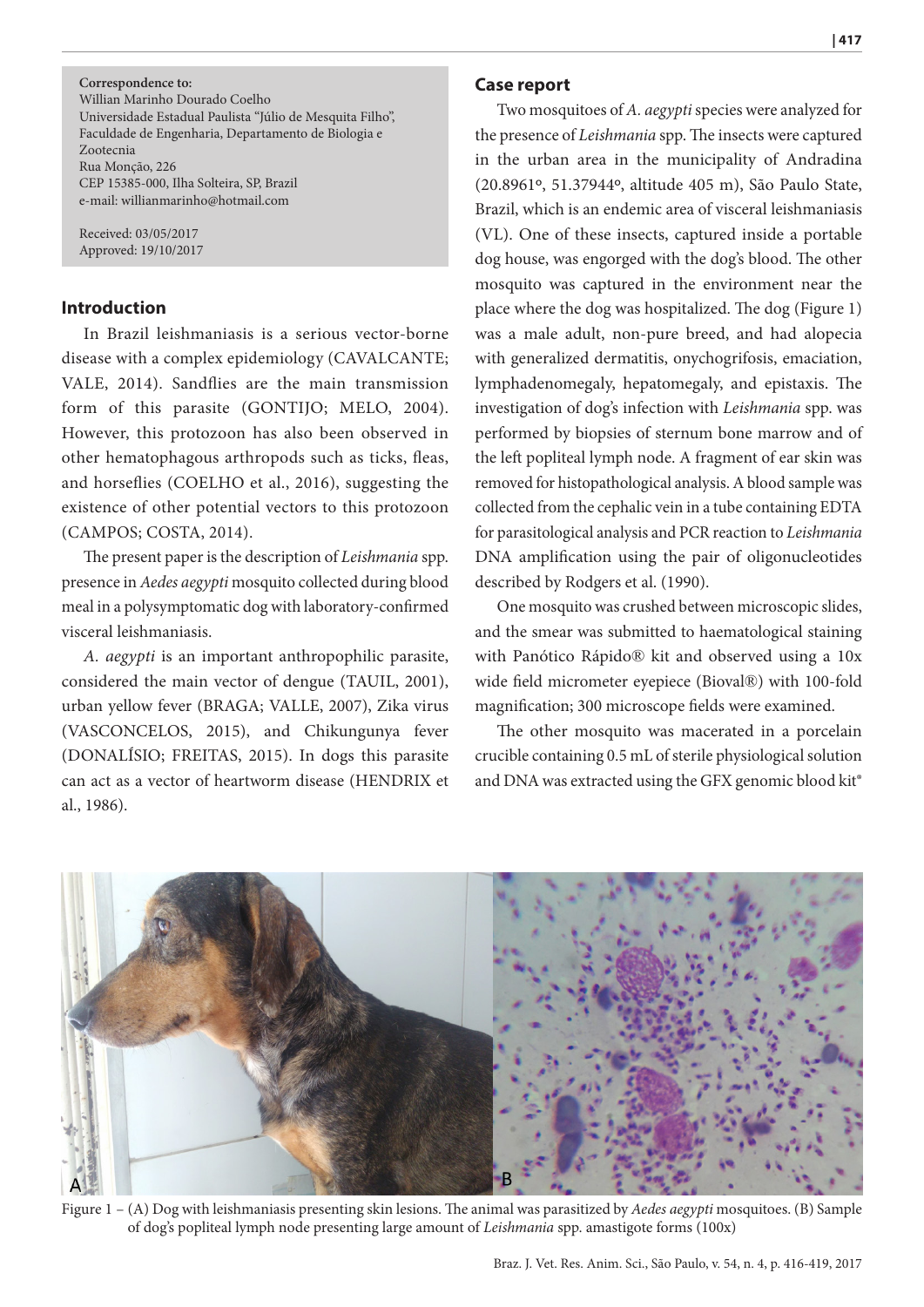#### **Correspondence to:** Willian Marinho Dourado Coelho Universidade Estadual Paulista "Júlio de Mesquita Filho", Faculdade de Engenharia, Departamento de Biologia e Zootecnia Rua Monção, 226 CEP 15385-000, Ilha Solteira, SP, Brazil e-mail: willianmarinho@hotmail.com

Received: 03/05/2017 Approved: 19/10/2017

## **Introduction**

In Brazil leishmaniasis is a serious vector-borne disease with a complex epidemiology (CAVALCANTE; VALE, 2014). Sandflies are the main transmission form of this parasite (GONTIJO; MELO, 2004). However, this protozoon has also been observed in other hematophagous arthropods such as ticks, fleas, and horseflies (COELHO et al., 2016), suggesting the existence of other potential vectors to this protozoon (CAMPOS; COSTA, 2014).

The present paper is the description of *Leishmania* spp. presence in *Aedes aegypti* mosquito collected during blood meal in a polysymptomatic dog with laboratory-confirmed visceral leishmaniasis.

*A. aegypti* is an important anthropophilic parasite, considered the main vector of dengue (TAUIL, 2001), urban yellow fever (BRAGA; VALLE, 2007), Zika virus (VASCONCELOS, 2015), and Chikungunya fever (DONALÍSIO; FREITAS, 2015). In dogs this parasite can act as a vector of heartworm disease (HENDRIX et al., 1986).

### **Case report**

Two mosquitoes of *A. aegypti* species were analyzed for the presence of *Leishmania* spp. The insects were captured in the urban area in the municipality of Andradina (20.8961°, 51.37944°, altitude 405 m), São Paulo State, Brazil, which is an endemic area of visceral leishmaniasis (VL). One of these insects, captured inside a portable dog house, was engorged with the dog's blood. The other mosquito was captured in the environment near the place where the dog was hospitalized. The dog (Figure 1) was a male adult, non-pure breed, and had alopecia with generalized dermatitis, onychogrifosis, emaciation, lymphadenomegaly, hepatomegaly, and epistaxis. The investigation of dog's infection with *Leishmania* spp. was performed by biopsies of sternum bone marrow and of the left popliteal lymph node. A fragment of ear skin was removed for histopathological analysis. A blood sample was collected from the cephalic vein in a tube containing EDTA for parasitological analysis and PCR reaction to *Leishmania*  DNA amplification using the pair of oligonucleotides described by Rodgers et al. (1990).

One mosquito was crushed between microscopic slides, and the smear was submitted to haematological staining with Panótico Rápido® kit and observed using a 10x wide field micrometer eyepiece (Bioval®) with 100-fold magnification; 300 microscope fields were examined.

The other mosquito was macerated in a porcelain crucible containing 0.5 mL of sterile physiological solution and DNA was extracted using the GFX genomic blood kit<sup>®</sup>



Figure 1 – (A) Dog with leishmaniasis presenting skin lesions. The animal was parasitized by *Aedes aegypti* mosquitoes. (B) Sample of dog's popliteal lymph node presenting large amount of *Leishmania* spp. amastigote forms (100x)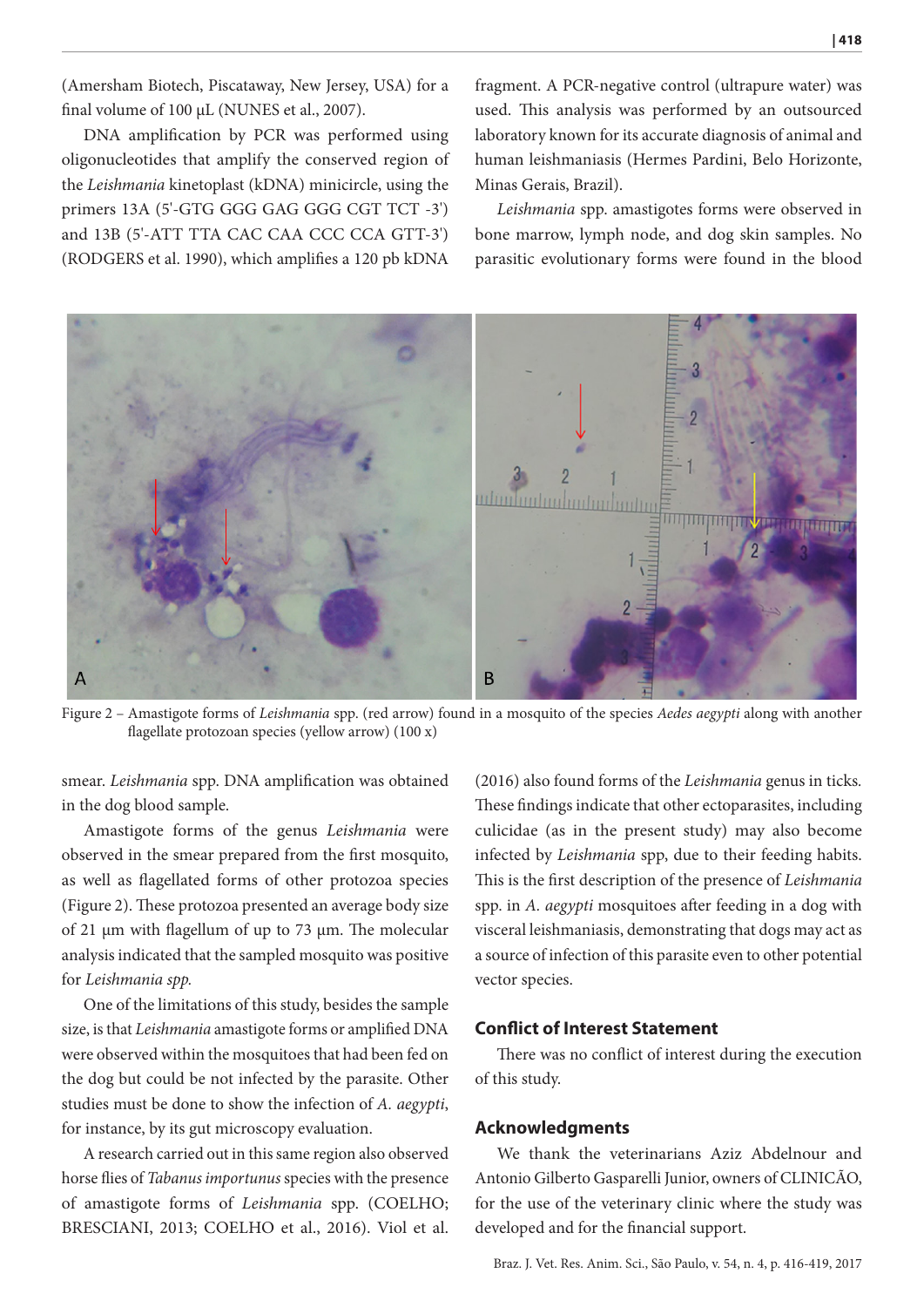(Amersham Biotech, Piscataway, New Jersey, USA) for a final volume of 100 µL (NUNES et al., 2007).

DNA amplification by PCR was performed using oligonucleotides that amplify the conserved region of the *Leishmania* kinetoplast (kDNA) minicircle, using the primers 13A (5'-GTG GGG GAG GGG CGT TCT -3') and 13B (5'-ATT TTA CAC CAA CCC CCA GTT-3') (RODGERS et al. 1990), which amplifies a 120 pb kDNA

fragment. A PCR-negative control (ultrapure water) was used. This analysis was performed by an outsourced laboratory known for its accurate diagnosis of animal and human leishmaniasis (Hermes Pardini, Belo Horizonte, Minas Gerais, Brazil).

*Leishmania* spp. amastigotes forms were observed in bone marrow, lymph node, and dog skin samples. No parasitic evolutionary forms were found in the blood



Figure 2 – Amastigote forms of *Leishmania* spp. (red arrow) found in a mosquito of the species *Aedes aegypti* along with another flagellate protozoan species (yellow arrow) (100 x)

smear. *Leishmania* spp. DNA amplification was obtained in the dog blood sample.

Amastigote forms of the genus *Leishmania* were observed in the smear prepared from the first mosquito, as well as flagellated forms of other protozoa species (Figure 2). These protozoa presented an average body size of 21 µm with flagellum of up to 73 µm. The molecular analysis indicated that the sampled mosquito was positive for *Leishmania spp.*

One of the limitations of this study, besides the sample size, is that *Leishmania* amastigote forms or amplified DNA were observed within the mosquitoes that had been fed on the dog but could be not infected by the parasite. Other studies must be done to show the infection of *A. aegypti*, for instance, by its gut microscopy evaluation.

A research carried out in this same region also observed horse flies of *Tabanus importunus* species with the presence of amastigote forms of *Leishmania* spp. (COELHO; BRESCIANI, 2013; COELHO et al., 2016). Viol et al. (2016) also found forms of the *Leishmania* genus in ticks*.* These findings indicate that other ectoparasites, including culicidae (as in the present study) may also become infected by *Leishmania* spp, due to their feeding habits. This is the first description of the presence of *Leishmania*  spp. in *A. aegypti* mosquitoes after feeding in a dog with visceral leishmaniasis, demonstrating that dogs may act as a source of infection of this parasite even to other potential vector species.

## **Conflict of Interest Statement**

There was no conflict of interest during the execution of this study.

#### **Acknowledgments**

We thank the veterinarians Aziz Abdelnour and Antonio Gilberto Gasparelli Junior, owners of CLINICÃO, for the use of the veterinary clinic where the study was developed and for the financial support.